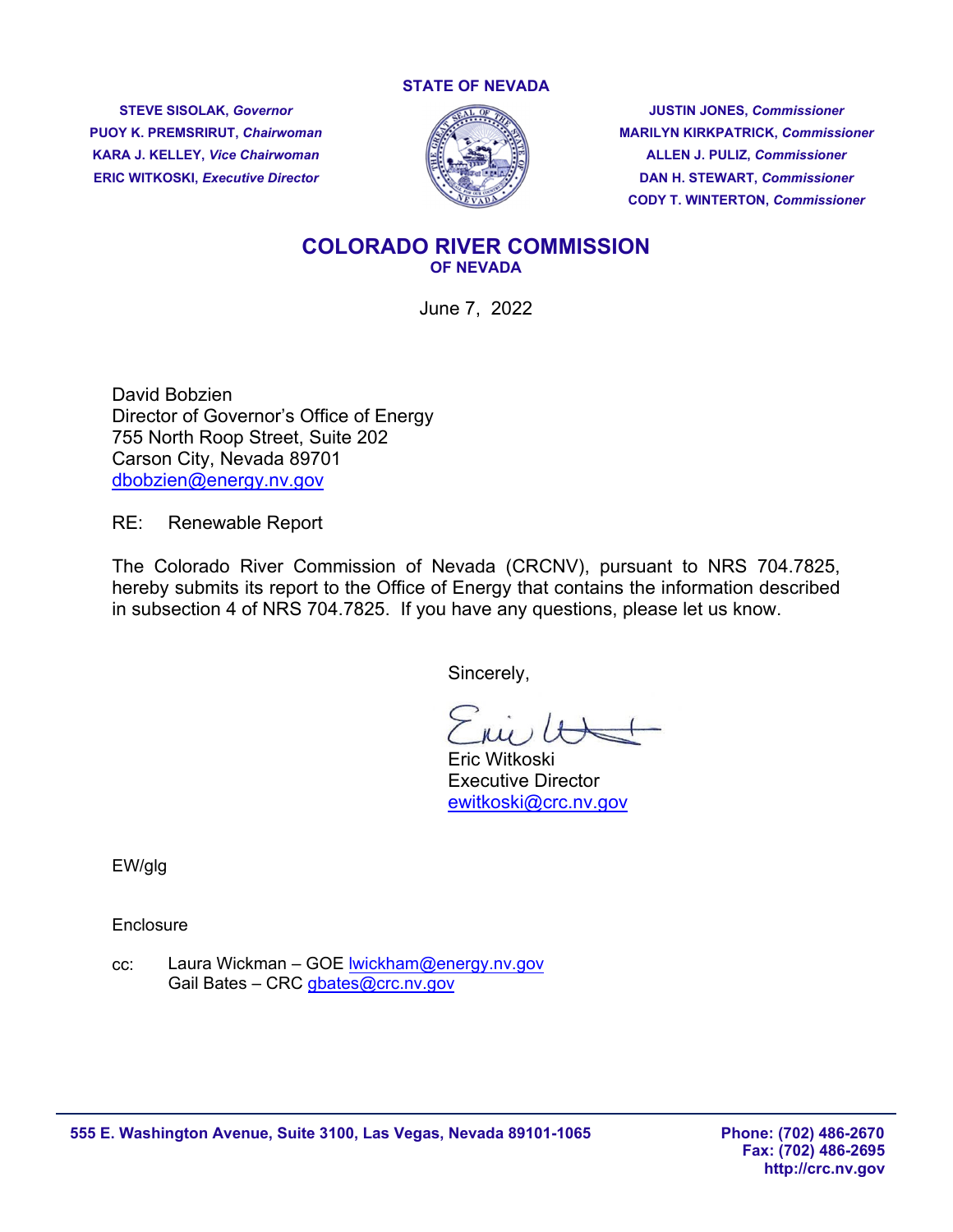#### **STATE OF NEVADA**

**KARA J. KELLEY,** *Vice Chairwoman* **ALLEN J. PULIZ,** *Commissioner* 



**STEVE SISOLAK,** *Governor* **JUSTIN JONES,** *Commissioner*  **PUOY K. PREMSRIRUT,** *Chairwoman* **MARILYN KIRKPATRICK,** *Commissioner*  **ERIC WITKOSKI, Executive Director**  $\mathbb{R}^n$  **<b>DAN H. STEWART, Commissioner DAN H. STEWART,** *Commissioner* **CODY T. WINTERTON,** *Commissioner* 

#### **COLORADO RIVER COMMISSION OF NEVADA**

June 7, 2022

David Bobzien Director of Governor's Office of Energy 755 North Roop Street, Suite 202 Carson City, Nevada 89701 [dbobzien@energy.nv.gov](mailto:dbobzien@energy.nv.gov)

RE: Renewable Report

The Colorado River Commission of Nevada (CRCNV), pursuant to NRS 704.7825, hereby submits its report to the Office of Energy that contains the information described in subsection 4 of NRS 704.7825. If you have any questions, please let us know.

Sincerely,

 Eric Witkoski Executive Director [ewitkoski@crc.nv.gov](mailto:ewitkoski@crc.nv.gov) 

EW/glg

**Enclosure** 

cc: Laura Wickman – GOE Iwickham@energy.nv.gov Gail Bates - CRC [gbates@crc.nv.gov](mailto:gbates@crc.nv.gov)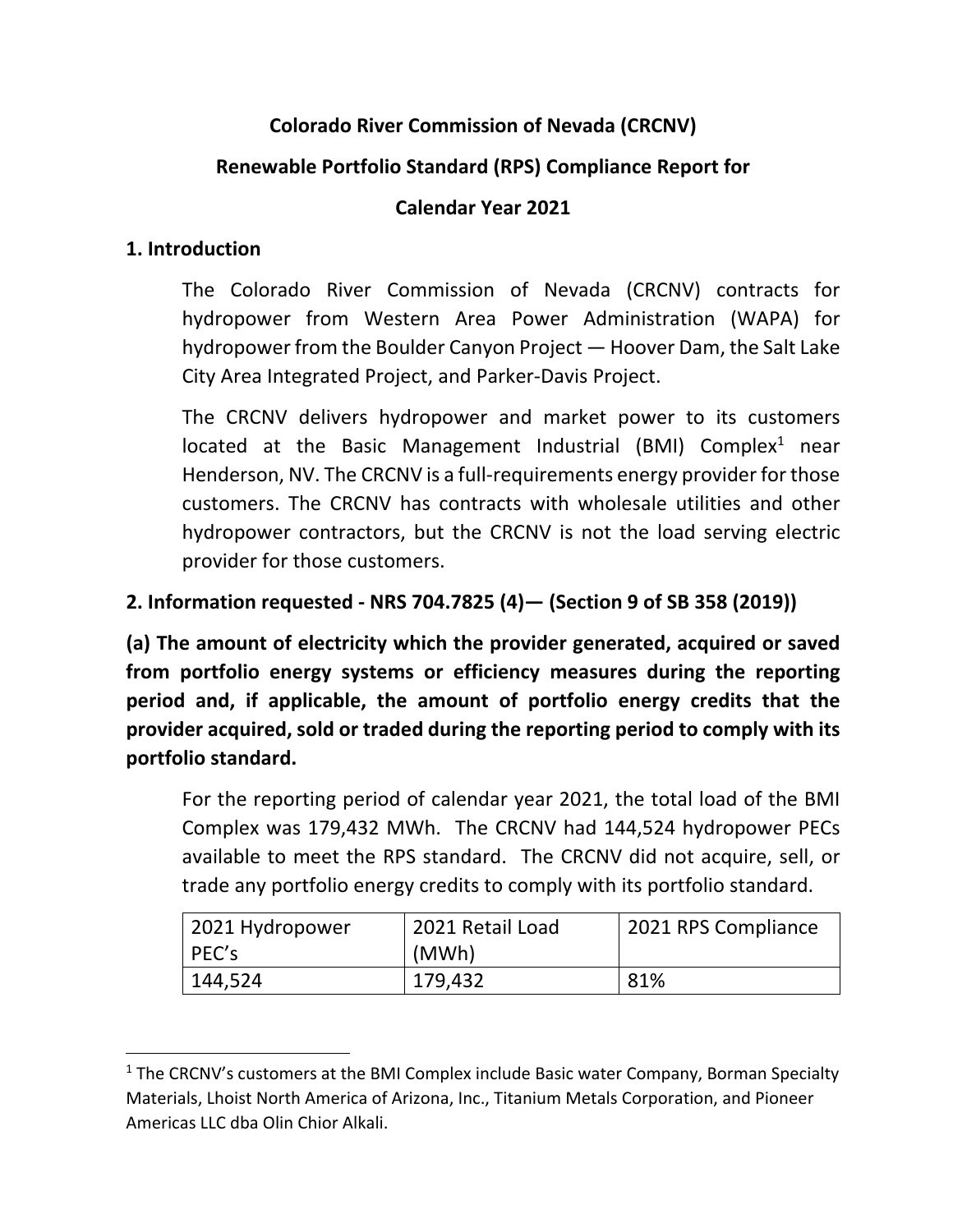## **Colorado River Commission of Nevada (CRCNV)**

### **Renewable Portfolio Standard (RPS) Compliance Report for**

#### **Calendar Year 2021**

#### **1. Introduction**

 The Colorado River Commission of Nevada (CRCNV) contracts for hydropower from Western Area Power Administration (WAPA) for hydropower from the Boulder Canyon Project — Hoover Dam, the Salt Lake City Area Integrated Project, and Parker‐Davis Project.

 The CRCNV delivers hydropower and market power to its customers located at the Basic Management Industrial (BMI) Complex<sup>1</sup> near Henderson, NV. The CRCNV is a full‐requirements energy provider for those customers. The CRCNV has contracts with wholesale utilities and other hydropower contractors, but the CRCNV is not the load serving electric provider for those customers.

### **2. Information requested ‐ NRS 704.7825 (4)— (Section 9 of SB 358 (2019))**

 **(a) The amount of electricity which the provider generated, acquired or saved from portfolio energy systems or efficiency measures during the reporting period and, if applicable, the amount of portfolio energy credits that the provider acquired, sold or traded during the reporting period to comply with its portfolio standard.**

 For the reporting period of calendar year 2021, the total load of the BMI Complex was 179,432 MWh. The CRCNV had 144,524 hydropower PECs available to meet the RPS standard. The CRCNV did not acquire, sell, or trade any portfolio energy credits to comply with its portfolio standard.

| 2021 Hydropower | 2021 Retail Load | 2021 RPS Compliance |
|-----------------|------------------|---------------------|
| PEC's           | (MWh)            |                     |
| 144,524         | 179,432          | 81%                 |

 $<sup>1</sup>$  The CRCNV's customers at the BMI Complex include Basic water Company, Borman Specialty</sup> Materials, Lhoist North America of Arizona, Inc., Titanium Metals Corporation, and Pioneer Americas LLC dba Olin Chior Alkali.